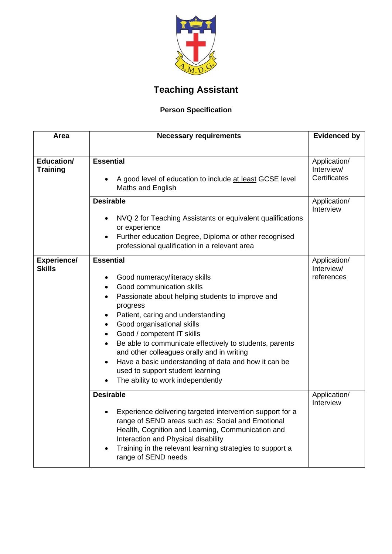

## **Teaching Assistant**

## **Person Specification**

| Area                                | <b>Necessary requirements</b>                                                                                                                                                                                                                                                                                                                                                                                                                                                                                                                              | <b>Evidenced by</b>                               |
|-------------------------------------|------------------------------------------------------------------------------------------------------------------------------------------------------------------------------------------------------------------------------------------------------------------------------------------------------------------------------------------------------------------------------------------------------------------------------------------------------------------------------------------------------------------------------------------------------------|---------------------------------------------------|
|                                     |                                                                                                                                                                                                                                                                                                                                                                                                                                                                                                                                                            |                                                   |
| Education/<br><b>Training</b>       | <b>Essential</b><br>A good level of education to include at least GCSE level<br>$\bullet$<br>Maths and English                                                                                                                                                                                                                                                                                                                                                                                                                                             | Application/<br>Interview/<br><b>Certificates</b> |
|                                     | <b>Desirable</b><br>NVQ 2 for Teaching Assistants or equivalent qualifications<br>$\bullet$<br>or experience<br>Further education Degree, Diploma or other recognised<br>$\bullet$<br>professional qualification in a relevant area                                                                                                                                                                                                                                                                                                                        | Application/<br>Interview                         |
| <b>Experience/</b><br><b>Skills</b> | <b>Essential</b><br>Good numeracy/literacy skills<br>$\bullet$<br>Good communication skills<br>Passionate about helping students to improve and<br>progress<br>Patient, caring and understanding<br>Good organisational skills<br>$\bullet$<br>Good / competent IT skills<br>$\bullet$<br>Be able to communicate effectively to students, parents<br>$\bullet$<br>and other colleagues orally and in writing<br>Have a basic understanding of data and how it can be<br>$\bullet$<br>used to support student learning<br>The ability to work independently | Application/<br>Interview/<br>references          |
|                                     | <b>Desirable</b><br>Experience delivering targeted intervention support for a<br>range of SEND areas such as: Social and Emotional<br>Health, Cognition and Learning, Communication and<br>Interaction and Physical disability<br>Training in the relevant learning strategies to support a<br>range of SEND needs                                                                                                                                                                                                                                         | Application/<br>Interview                         |